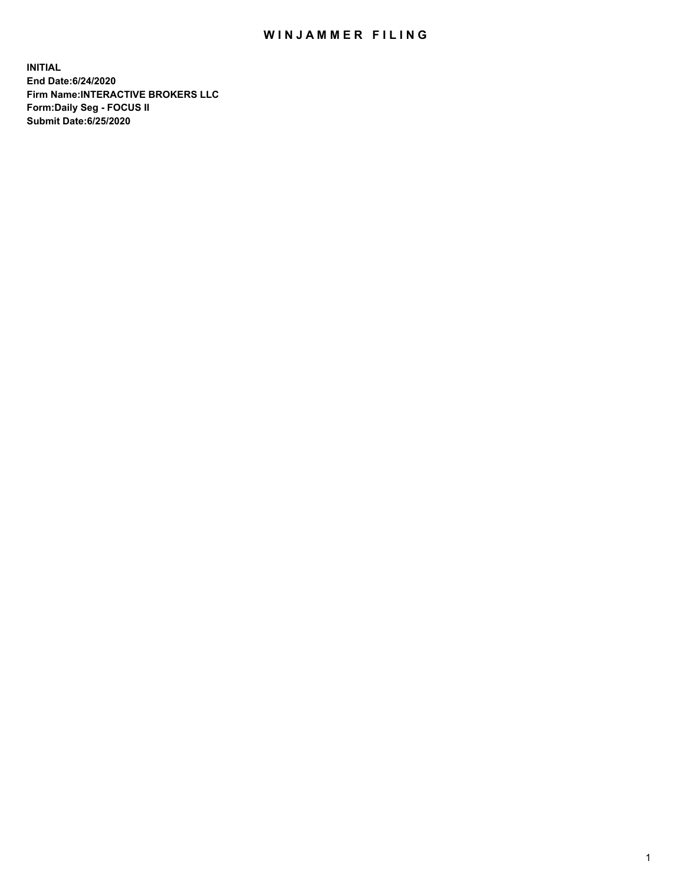## WIN JAMMER FILING

**INITIAL End Date:6/24/2020 Firm Name:INTERACTIVE BROKERS LLC Form:Daily Seg - FOCUS II Submit Date:6/25/2020**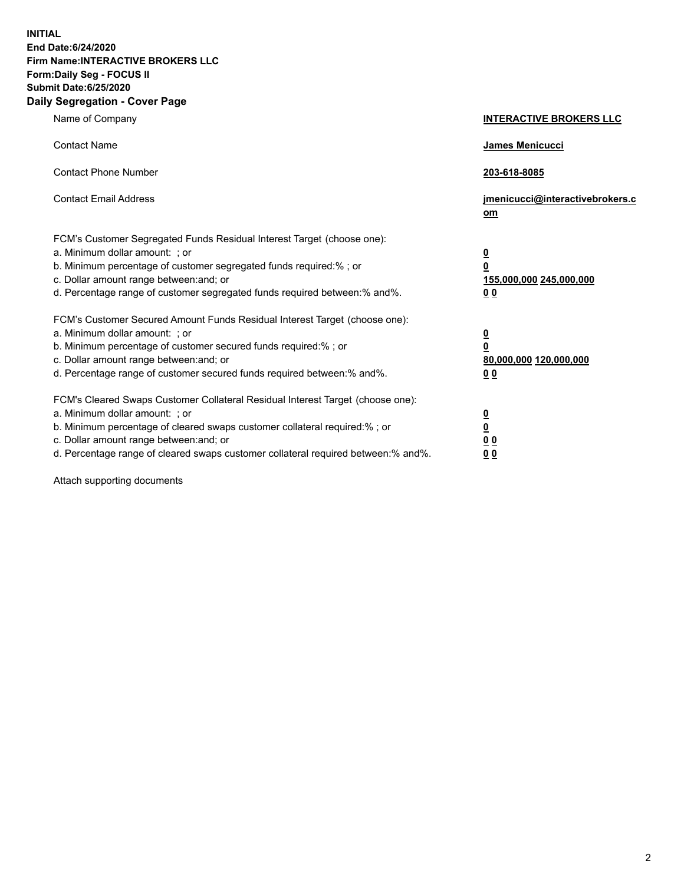**INITIAL End Date:6/24/2020 Firm Name:INTERACTIVE BROKERS LLC Form:Daily Seg - FOCUS II Submit Date:6/25/2020 Daily Segregation - Cover Page**

| Name of Company                                                                                                                                                                                                                                                                                                                | <b>INTERACTIVE BROKERS LLC</b>                                                                  |
|--------------------------------------------------------------------------------------------------------------------------------------------------------------------------------------------------------------------------------------------------------------------------------------------------------------------------------|-------------------------------------------------------------------------------------------------|
| <b>Contact Name</b>                                                                                                                                                                                                                                                                                                            | <b>James Menicucci</b>                                                                          |
| <b>Contact Phone Number</b>                                                                                                                                                                                                                                                                                                    | 203-618-8085                                                                                    |
| <b>Contact Email Address</b>                                                                                                                                                                                                                                                                                                   | jmenicucci@interactivebrokers.c<br>om                                                           |
| FCM's Customer Segregated Funds Residual Interest Target (choose one):<br>a. Minimum dollar amount: ; or<br>b. Minimum percentage of customer segregated funds required:%; or<br>c. Dollar amount range between: and; or<br>d. Percentage range of customer segregated funds required between:% and%.                          | $\overline{\mathbf{0}}$<br>$\overline{\mathbf{0}}$<br>155,000,000 245,000,000<br>0 <sub>0</sub> |
| FCM's Customer Secured Amount Funds Residual Interest Target (choose one):<br>a. Minimum dollar amount: ; or<br>b. Minimum percentage of customer secured funds required:%; or<br>c. Dollar amount range between: and; or<br>d. Percentage range of customer secured funds required between:% and%.                            | <u>0</u><br>$\overline{\mathbf{0}}$<br>80,000,000 120,000,000<br>0 <sub>0</sub>                 |
| FCM's Cleared Swaps Customer Collateral Residual Interest Target (choose one):<br>a. Minimum dollar amount: ; or<br>b. Minimum percentage of cleared swaps customer collateral required:% ; or<br>c. Dollar amount range between: and; or<br>d. Percentage range of cleared swaps customer collateral required between:% and%. | $\overline{\mathbf{0}}$<br>$\underline{\mathbf{0}}$<br>0 <sub>0</sub><br>00                     |

Attach supporting documents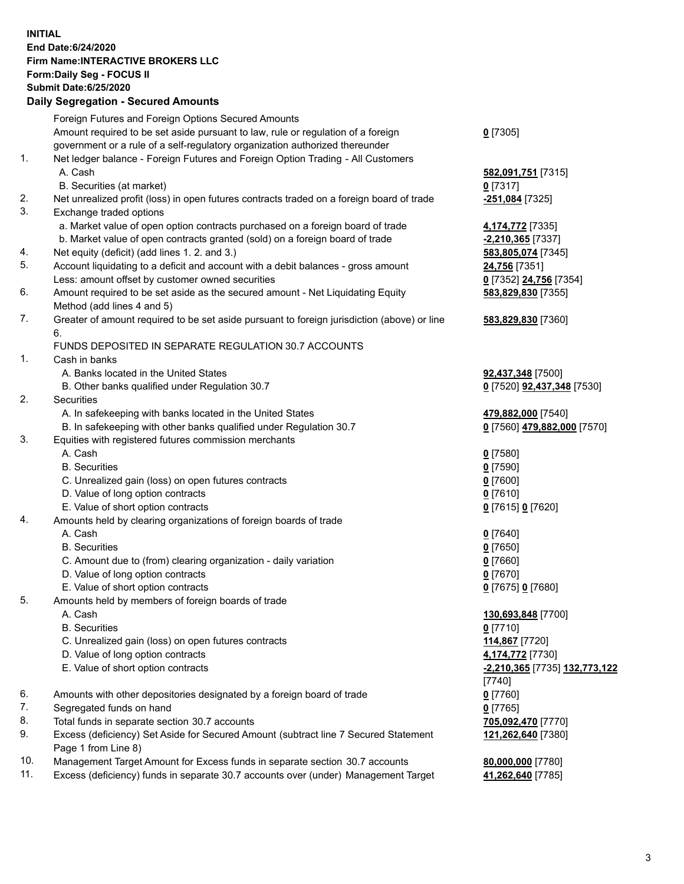## **INITIAL End Date:6/24/2020 Firm Name:INTERACTIVE BROKERS LLC Form:Daily Seg - FOCUS II Submit Date:6/25/2020 Daily Segregation - Secured Amounts**

|     | Daily Jeglegation - Jeculed Amounts                                                                |                                                |
|-----|----------------------------------------------------------------------------------------------------|------------------------------------------------|
|     | Foreign Futures and Foreign Options Secured Amounts                                                |                                                |
|     | Amount required to be set aside pursuant to law, rule or regulation of a foreign                   | $0$ [7305]                                     |
|     | government or a rule of a self-regulatory organization authorized thereunder                       |                                                |
| 1.  | Net ledger balance - Foreign Futures and Foreign Option Trading - All Customers                    |                                                |
|     | A. Cash                                                                                            | 582,091,751 [7315]                             |
|     | B. Securities (at market)                                                                          | $0$ [7317]                                     |
| 2.  | Net unrealized profit (loss) in open futures contracts traded on a foreign board of trade          | -251,084 [7325]                                |
| 3.  | Exchange traded options                                                                            |                                                |
|     | a. Market value of open option contracts purchased on a foreign board of trade                     | 4,174,772 [7335]                               |
|     | b. Market value of open contracts granted (sold) on a foreign board of trade                       | $-2,210,365$ [7337]                            |
| 4.  | Net equity (deficit) (add lines 1. 2. and 3.)                                                      | 583,805,074 [7345]                             |
| 5.  | Account liquidating to a deficit and account with a debit balances - gross amount                  | 24,756 [7351]                                  |
|     | Less: amount offset by customer owned securities                                                   | 0 [7352] 24,756 [7354]                         |
| 6.  | Amount required to be set aside as the secured amount - Net Liquidating Equity                     | 583,829,830 [7355]                             |
|     | Method (add lines 4 and 5)                                                                         |                                                |
| 7.  | Greater of amount required to be set aside pursuant to foreign jurisdiction (above) or line        | 583,829,830 [7360]                             |
|     | 6.                                                                                                 |                                                |
|     | FUNDS DEPOSITED IN SEPARATE REGULATION 30.7 ACCOUNTS                                               |                                                |
| 1.  | Cash in banks                                                                                      |                                                |
|     | A. Banks located in the United States                                                              | 92,437,348 [7500]                              |
|     | B. Other banks qualified under Regulation 30.7                                                     | 0 [7520] <b>92,437,348</b> [7530]              |
| 2.  | Securities                                                                                         |                                                |
|     | A. In safekeeping with banks located in the United States                                          | 479,882,000 [7540]                             |
|     | B. In safekeeping with other banks qualified under Regulation 30.7                                 | 0 [7560] 479,882,000 [7570]                    |
| 3.  | Equities with registered futures commission merchants                                              |                                                |
|     | A. Cash                                                                                            | $0$ [7580]                                     |
|     | <b>B.</b> Securities                                                                               | $0$ [7590]                                     |
|     | C. Unrealized gain (loss) on open futures contracts                                                | $0$ [7600]                                     |
|     | D. Value of long option contracts                                                                  | $0$ [7610]                                     |
|     | E. Value of short option contracts                                                                 | 0 [7615] 0 [7620]                              |
| 4.  | Amounts held by clearing organizations of foreign boards of trade                                  |                                                |
|     | A. Cash                                                                                            |                                                |
|     | <b>B.</b> Securities                                                                               | $0$ [7640]<br>$0$ [7650]                       |
|     | C. Amount due to (from) clearing organization - daily variation                                    | $0$ [7660]                                     |
|     | D. Value of long option contracts                                                                  | $0$ [7670]                                     |
|     |                                                                                                    |                                                |
| 5.  | E. Value of short option contracts<br>Amounts held by members of foreign boards of trade           | 0 [7675] 0 [7680]                              |
|     | A. Cash                                                                                            | 130,693,848 [7700]                             |
|     | <b>B.</b> Securities                                                                               | $0$ [7710]                                     |
|     | C. Unrealized gain (loss) on open futures contracts                                                |                                                |
|     |                                                                                                    | 114,867 [7720]                                 |
|     | D. Value of long option contracts                                                                  | 4,174,772 [7730]                               |
|     | E. Value of short option contracts                                                                 | <u>-2,210,365</u> [7735] 132,773,122<br>[7740] |
| 6.  |                                                                                                    |                                                |
| 7.  | Amounts with other depositories designated by a foreign board of trade                             | $0$ [7760]                                     |
| 8.  | Segregated funds on hand                                                                           | $0$ [7765]                                     |
| 9.  | Total funds in separate section 30.7 accounts                                                      | 705,092,470 [7770]                             |
|     | Excess (deficiency) Set Aside for Secured Amount (subtract line 7 Secured Statement                | 121,262,640 [7380]                             |
| 10. | Page 1 from Line 8)<br>Management Target Amount for Excess funds in separate section 30.7 accounts |                                                |
| 11. | Excess (deficiency) funds in separate 30.7 accounts over (under) Management Target                 | 80,000,000 [7780]<br>41,262,640 [7785]         |
|     |                                                                                                    |                                                |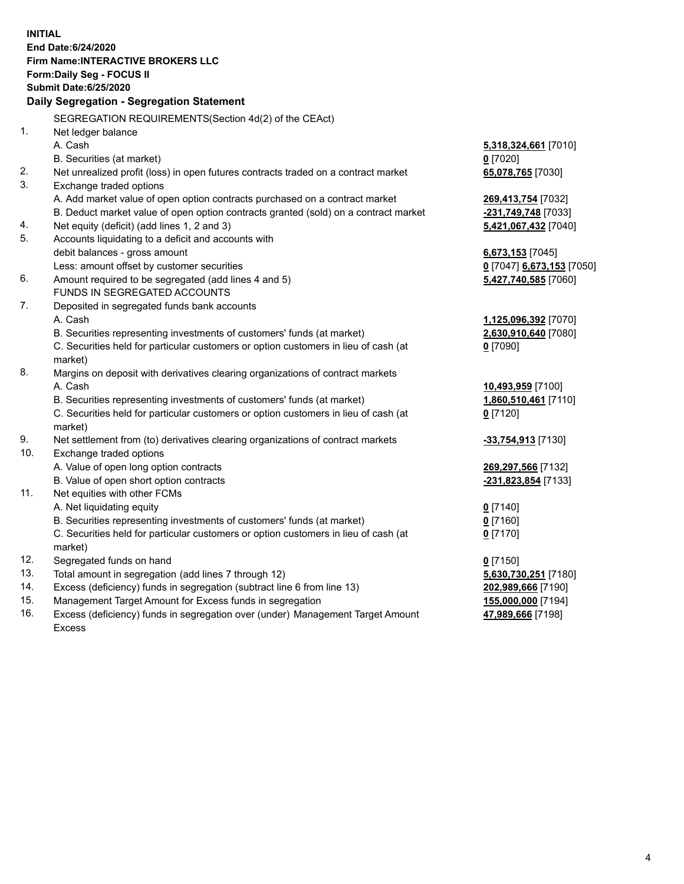**INITIAL End Date:6/24/2020 Firm Name:INTERACTIVE BROKERS LLC Form:Daily Seg - FOCUS II Submit Date:6/25/2020 Daily Segregation - Segregation Statement** SEGREGATION REQUIREMENTS(Section 4d(2) of the CEAct) 1. Net ledger balance A. Cash **5,318,324,661** [7010] B. Securities (at market) **0** [7020] 2. Net unrealized profit (loss) in open futures contracts traded on a contract market **65,078,765** [7030] 3. Exchange traded options A. Add market value of open option contracts purchased on a contract market **269,413,754** [7032] B. Deduct market value of open option contracts granted (sold) on a contract market **-231,749,748** [7033] 4. Net equity (deficit) (add lines 1, 2 and 3) **5,421,067,432** [7040] 5. Accounts liquidating to a deficit and accounts with debit balances - gross amount **6,673,153** [7045] Less: amount offset by customer securities **0** [7047] **6,673,153** [7050] 6. Amount required to be segregated (add lines 4 and 5) **5,427,740,585** [7060] FUNDS IN SEGREGATED ACCOUNTS 7. Deposited in segregated funds bank accounts A. Cash **1,125,096,392** [7070] B. Securities representing investments of customers' funds (at market) **2,630,910,640** [7080] C. Securities held for particular customers or option customers in lieu of cash (at market) **0** [7090] 8. Margins on deposit with derivatives clearing organizations of contract markets A. Cash **10,493,959** [7100] B. Securities representing investments of customers' funds (at market) **1,860,510,461** [7110] C. Securities held for particular customers or option customers in lieu of cash (at market) **0** [7120] 9. Net settlement from (to) derivatives clearing organizations of contract markets **-33,754,913** [7130] 10. Exchange traded options A. Value of open long option contracts **269,297,566** [7132] B. Value of open short option contracts **-231,823,854** [7133] 11. Net equities with other FCMs A. Net liquidating equity **0** [7140] B. Securities representing investments of customers' funds (at market) **0** [7160] C. Securities held for particular customers or option customers in lieu of cash (at market) **0** [7170] 12. Segregated funds on hand **0** [7150] 13. Total amount in segregation (add lines 7 through 12) **5,630,730,251** [7180] 14. Excess (deficiency) funds in segregation (subtract line 6 from line 13) **202,989,666** [7190] 15. Management Target Amount for Excess funds in segregation **155,000,000** [7194]

16. Excess (deficiency) funds in segregation over (under) Management Target Amount Excess

**47,989,666** [7198]